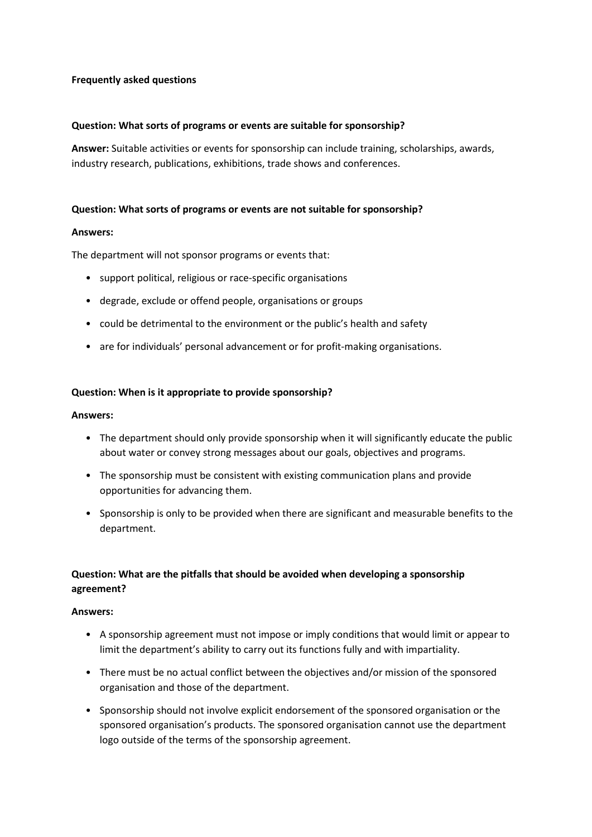## **Frequently asked questions**

### **Question: What sorts of programs or events are suitable for sponsorship?**

**Answer:** Suitable activities or events for sponsorship can include training, scholarships, awards, industry research, publications, exhibitions, trade shows and conferences.

### **Question: What sorts of programs or events are not suitable for sponsorship?**

#### **Answers:**

The department will not sponsor programs or events that:

- support political, religious or race-specific organisations
- degrade, exclude or offend people, organisations or groups
- could be detrimental to the environment or the public's health and safety
- are for individuals' personal advancement or for profit-making organisations.

### **Question: When is it appropriate to provide sponsorship?**

#### **Answers:**

- The department should only provide sponsorship when it will significantly educate the public about water or convey strong messages about our goals, objectives and programs.
- The sponsorship must be consistent with existing communication plans and provide opportunities for advancing them.
- Sponsorship is only to be provided when there are significant and measurable benefits to the department.

# **Question: What are the pitfalls that should be avoided when developing a sponsorship agreement?**

#### **Answers:**

- A sponsorship agreement must not impose or imply conditions that would limit or appear to limit the department's ability to carry out its functions fully and with impartiality.
- There must be no actual conflict between the objectives and/or mission of the sponsored organisation and those of the department.
- Sponsorship should not involve explicit endorsement of the sponsored organisation or the sponsored organisation's products. The sponsored organisation cannot use the department logo outside of the terms of the sponsorship agreement.